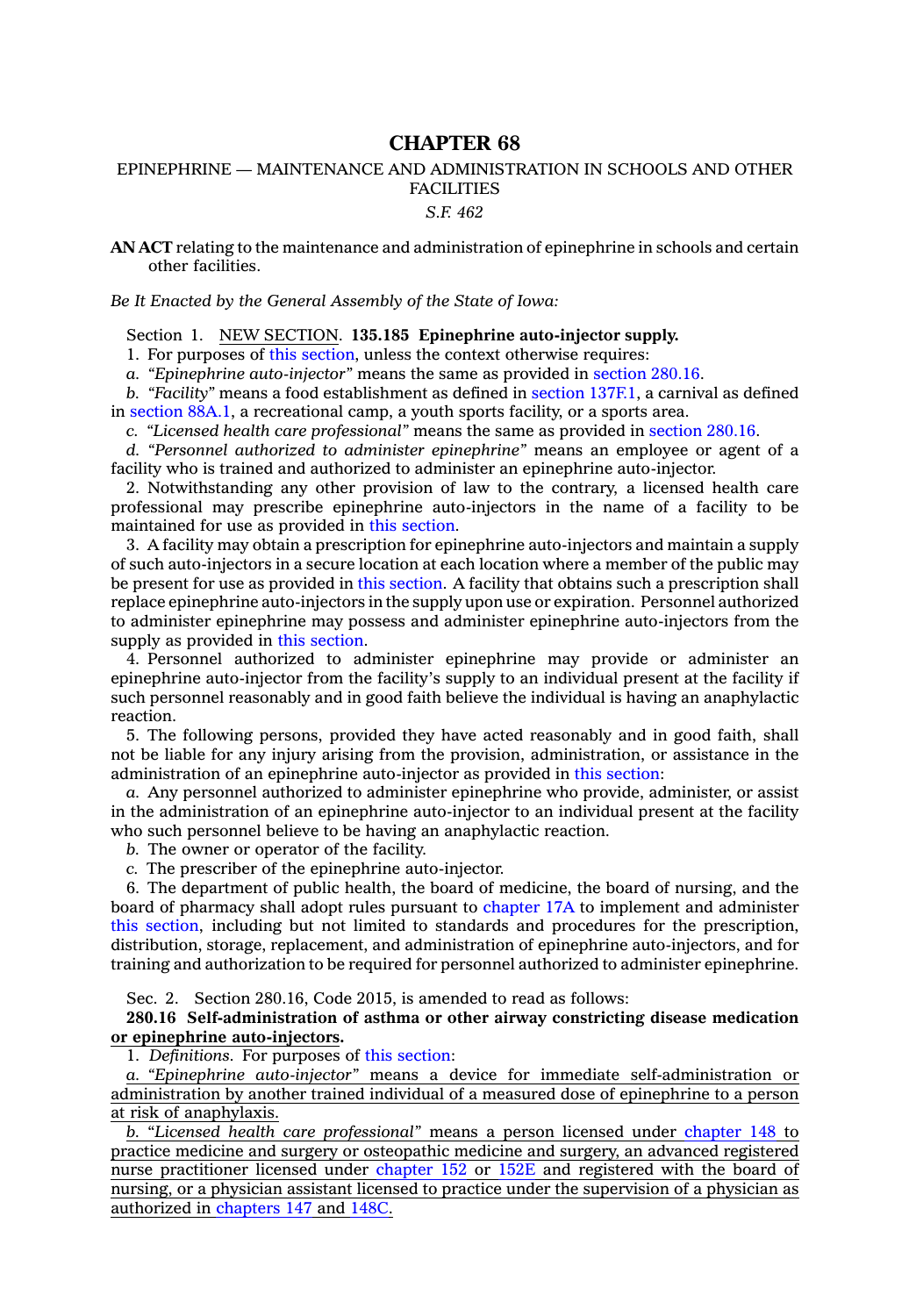## **CHAPTER 68**

## EPINEPHRINE — MAINTENANCE AND ADMINISTRATION IN SCHOOLS AND OTHER FACILITIES

*S.F. 462*

**AN ACT** relating to the maintenance and administration of epinephrine in schools and certain other facilities.

*Be It Enacted by the General Assembly of the State of Iowa:*

Section 1. NEW SECTION. **135.185 Epinephrine auto-injector supply.**

1. For purposes of this [section](https://www.legis.iowa.gov/docs/code/2015/135.185.pdf), unless the context otherwise requires:

*a. "Epinephrine auto-injector"* means the same as provided in [section](https://www.legis.iowa.gov/docs/code/2015/280.16.pdf) 280.16.

*b. "Facility"* means <sup>a</sup> food establishment as defined in section [137F.1](https://www.legis.iowa.gov/docs/code/2015/137F.1.pdf), <sup>a</sup> carnival as defined in [section](https://www.legis.iowa.gov/docs/code/2015/88A.1.pdf) 88A.1, <sup>a</sup> recreational camp, <sup>a</sup> youth sports facility, or <sup>a</sup> sports area.

*c. "Licensed health care professional"* means the same as provided in [section](https://www.legis.iowa.gov/docs/code/2015/280.16.pdf) 280.16.

*d. "Personnel authorized to administer epinephrine"* means an employee or agent of <sup>a</sup> facility who is trained and authorized to administer an epinephrine auto-injector.

2. Notwithstanding any other provision of law to the contrary, <sup>a</sup> licensed health care professional may prescribe epinephrine auto-injectors in the name of <sup>a</sup> facility to be maintained for use as provided in this [section](https://www.legis.iowa.gov/docs/code/2015/135.185.pdf).

3. A facility may obtain <sup>a</sup> prescription for epinephrine auto-injectors and maintain <sup>a</sup> supply of such auto-injectors in <sup>a</sup> secure location at each location where <sup>a</sup> member of the public may be present for use as provided in this [section](https://www.legis.iowa.gov/docs/code/2015/135.185.pdf). A facility that obtains such <sup>a</sup> prescription shall replace epinephrine auto-injectors in the supply upon use or expiration. Personnel authorized to administer epinephrine may possess and administer epinephrine auto-injectors from the supply as provided in this [section](https://www.legis.iowa.gov/docs/code/2015/135.185.pdf).

4. Personnel authorized to administer epinephrine may provide or administer an epinephrine auto-injector from the facility's supply to an individual present at the facility if such personnel reasonably and in good faith believe the individual is having an anaphylactic reaction.

5. The following persons, provided they have acted reasonably and in good faith, shall not be liable for any injury arising from the provision, administration, or assistance in the administration of an epinephrine auto-injector as provided in this [section](https://www.legis.iowa.gov/docs/code/2015/135.185.pdf):

*a.* Any personnel authorized to administer epinephrine who provide, administer, or assist in the administration of an epinephrine auto-injector to an individual present at the facility who such personnel believe to be having an anaphylactic reaction.

*b.* The owner or operator of the facility.

*c.* The prescriber of the epinephrine auto-injector.

6. The department of public health, the board of medicine, the board of nursing, and the board of pharmacy shall adopt rules pursuant to [chapter](https://www.legis.iowa.gov/docs/code/2015/17A.pdf) 17A to implement and administer this [section](https://www.legis.iowa.gov/docs/code/2015/135.185.pdf), including but not limited to standards and procedures for the prescription, distribution, storage, replacement, and administration of epinephrine auto-injectors, and for training and authorization to be required for personnel authorized to administer epinephrine.

Sec. 2. Section 280.16, Code 2015, is amended to read as follows:

**280.16 Self-administration of asthma or other airway constricting disease medication or epinephrine auto-injectors.**

1. *Definitions.* For purposes of this [section](https://www.legis.iowa.gov/docs/code/2015/280.16.pdf):

*a. "Epinephrine auto-injector"* means <sup>a</sup> device for immediate self-administration or administration by another trained individual of <sup>a</sup> measured dose of epinephrine to <sup>a</sup> person at risk of anaphylaxis.

*b.* "*Licensed health care professional"* means <sup>a</sup> person licensed under [chapter](https://www.legis.iowa.gov/docs/code/2015/148.pdf) 148 to practice medicine and surgery or osteopathic medicine and surgery, an advanced registered nurse practitioner licensed under [chapter](https://www.legis.iowa.gov/docs/code/2015/152.pdf) 152 or [152E](https://www.legis.iowa.gov/docs/code/2015/152E.pdf) and registered with the board of nursing, or <sup>a</sup> physician assistant licensed to practice under the supervision of <sup>a</sup> physician as authorized in [chapters](https://www.legis.iowa.gov/docs/code/2015/147.pdf) 147 and [148C](https://www.legis.iowa.gov/docs/code/2015/148C.pdf).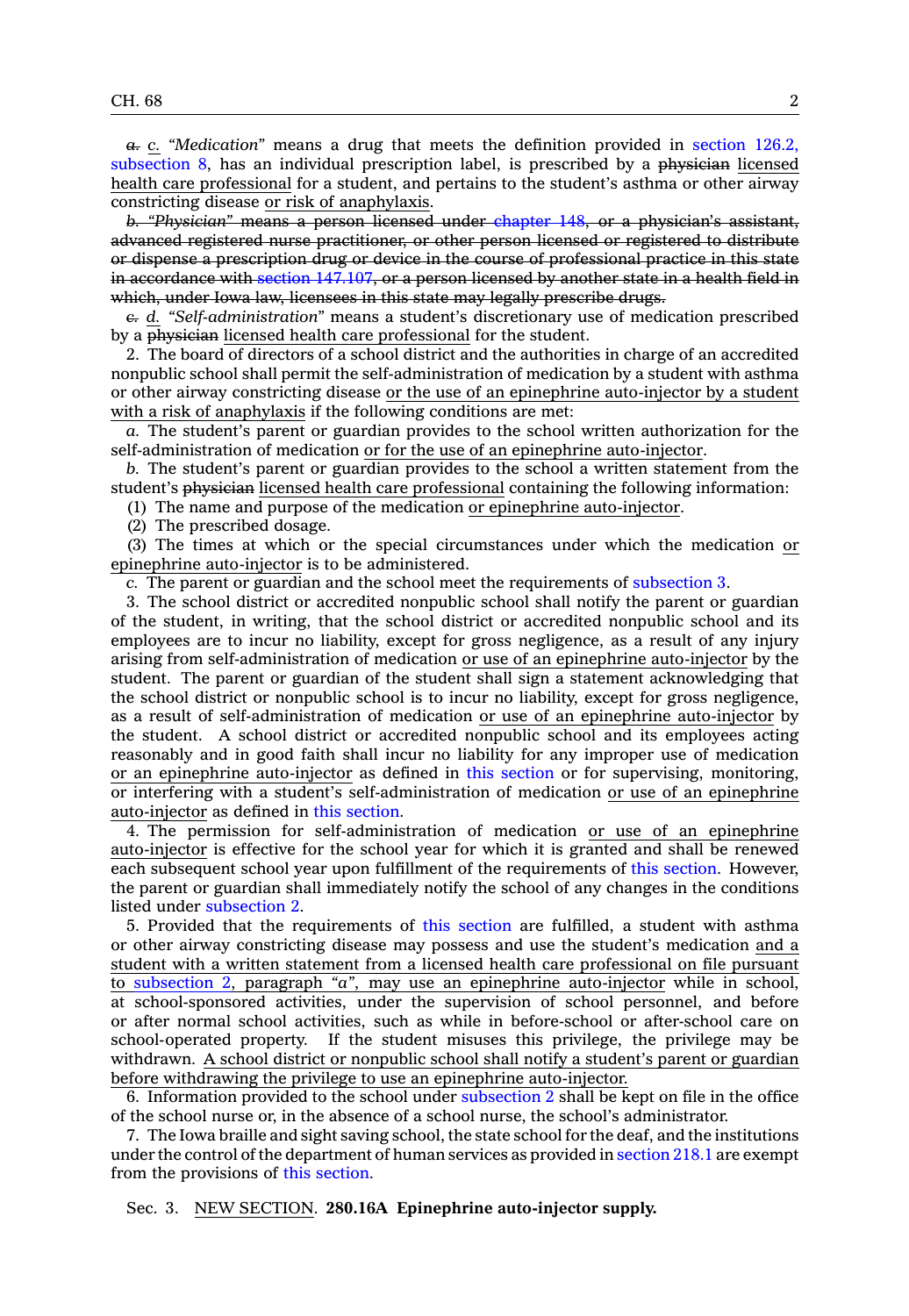*a. c. "Medication"* means <sup>a</sup> drug that meets the definition provided in [section](https://www.legis.iowa.gov/docs/code/2015/126.2.pdf) 126.2, [subsection](https://www.legis.iowa.gov/docs/code/2015/126.2.pdf) 8, has an individual prescription label, is prescribed by <sup>a</sup> physician licensed health care professional for <sup>a</sup> student, and pertains to the student's asthma or other airway constricting disease or risk of anaphylaxis.

*b. "Physician"* means <sup>a</sup> person licensed under [chapter](https://www.legis.iowa.gov/docs/code/2015/148.pdf) 148, or <sup>a</sup> physician's assistant, advanced registered nurse practitioner, or other person licensed or registered to distribute or dispense <sup>a</sup> prescription drug or device in the course of professional practice in this state in accordance with section [147.107](https://www.legis.iowa.gov/docs/code/2015/147.107.pdf), or <sup>a</sup> person licensed by another state in <sup>a</sup> health field in which, under Iowa law, licensees in this state may legally prescribe drugs.

*c. d. "Self-administration"* means <sup>a</sup> student's discretionary use of medication prescribed by <sup>a</sup> physician licensed health care professional for the student.

2. The board of directors of <sup>a</sup> school district and the authorities in charge of an accredited nonpublic school shall permit the self-administration of medication by <sup>a</sup> student with asthma or other airway constricting disease or the use of an epinephrine auto-injector by <sup>a</sup> student with <sup>a</sup> risk of anaphylaxis if the following conditions are met:

*a.* The student's parent or guardian provides to the school written authorization for the self-administration of medication or for the use of an epinephrine auto-injector.

*b.* The student's parent or guardian provides to the school <sup>a</sup> written statement from the student's physician licensed health care professional containing the following information:

(1) The name and purpose of the medication or epinephrine auto-injector.

(2) The prescribed dosage.

(3) The times at which or the special circumstances under which the medication or epinephrine auto-injector is to be administered.

*c.* The parent or guardian and the school meet the requirements of [subsection](https://www.legis.iowa.gov/docs/code/2015/280.16.pdf) 3.

3. The school district or accredited nonpublic school shall notify the parent or guardian of the student, in writing, that the school district or accredited nonpublic school and its employees are to incur no liability, except for gross negligence, as <sup>a</sup> result of any injury arising from self-administration of medication or use of an epinephrine auto-injector by the student. The parent or guardian of the student shall sign <sup>a</sup> statement acknowledging that the school district or nonpublic school is to incur no liability, except for gross negligence, as <sup>a</sup> result of self-administration of medication or use of an epinephrine auto-injector by the student. A school district or accredited nonpublic school and its employees acting reasonably and in good faith shall incur no liability for any improper use of medication or an epinephrine auto-injector as defined in this [section](https://www.legis.iowa.gov/docs/code/2015/280.16.pdf) or for supervising, monitoring, or interfering with <sup>a</sup> student's self-administration of medication or use of an epinephrine auto-injector as defined in this [section](https://www.legis.iowa.gov/docs/code/2015/280.16.pdf).

4. The permission for self-administration of medication or use of an epinephrine auto-injector is effective for the school year for which it is granted and shall be renewed each subsequent school year upon fulfillment of the requirements of this [section](https://www.legis.iowa.gov/docs/code/2015/280.16.pdf). However, the parent or guardian shall immediately notify the school of any changes in the conditions listed under [subsection](https://www.legis.iowa.gov/docs/code/2015/280.16.pdf) 2.

5. Provided that the requirements of this [section](https://www.legis.iowa.gov/docs/code/2015/280.16.pdf) are fulfilled, <sup>a</sup> student with asthma or other airway constricting disease may possess and use the student's medication and <sup>a</sup> student with <sup>a</sup> written statement from <sup>a</sup> licensed health care professional on file pursuant to [subsection](https://www.legis.iowa.gov/docs/code/2015/280.16.pdf) 2, paragraph *"a"*, may use an epinephrine auto-injector while in school, at school-sponsored activities, under the supervision of school personnel, and before or after normal school activities, such as while in before-school or after-school care on school-operated property. If the student misuses this privilege, the privilege may be withdrawn. A school district or nonpublic school shall notify <sup>a</sup> student's parent or guardian before withdrawing the privilege to use an epinephrine auto-injector.

6. Information provided to the school under [subsection](https://www.legis.iowa.gov/docs/code/2015/280.16.pdf) 2 shall be kept on file in the office of the school nurse or, in the absence of <sup>a</sup> school nurse, the school's administrator.

7. The Iowa braille and sight saving school, the state school for the deaf, and the institutions under the control of the department of human services as provided in [section](https://www.legis.iowa.gov/docs/code/2015/218.1.pdf) 218.1 are exempt from the provisions of this [section](https://www.legis.iowa.gov/docs/code/2015/280.16.pdf).

Sec. 3. NEW SECTION. **280.16A Epinephrine auto-injector supply.**